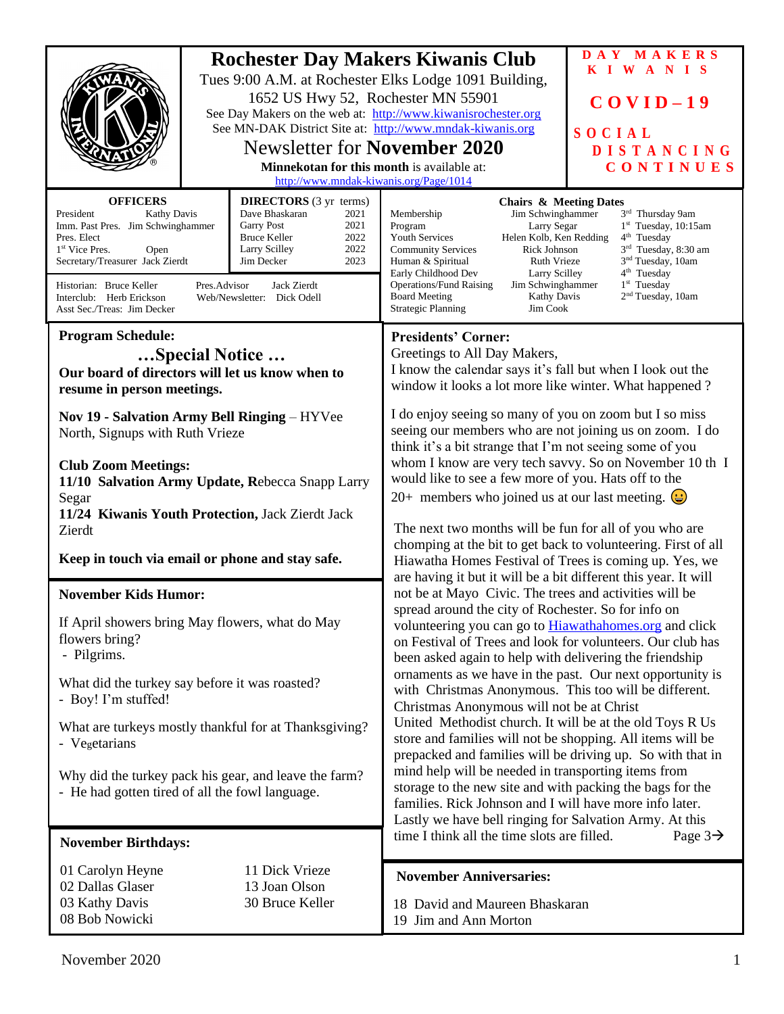|                                                                                                                                                                                                                                                                                                                                                                                                                                                                                                          | 1652 US Hwy 52, Rochester MN 55901<br><b>Newsletter for November 2020</b><br><b>Minnekotan for this month is available at:</b><br>http://www.mndak-kiwanis.org/Page/1014 | <b>Rochester Day Makers Kiwanis Club</b><br>Tues 9:00 A.M. at Rochester Elks Lodge 1091 Building,<br>See Day Makers on the web at: http://www.kiwanisrochester.org<br>See MN-DAK District Site at: http://www.mndak-kiwanis.org                                                                                                                                                                                                                                                                                                                                                                                                                                                                                                                                                                                                                                                                              | DAY MAKERS<br>KIWANIS<br>$COVID-19$<br>SOCIAL<br><b>DISTANCING</b><br>CONTINUES                                                                                                                                       |
|----------------------------------------------------------------------------------------------------------------------------------------------------------------------------------------------------------------------------------------------------------------------------------------------------------------------------------------------------------------------------------------------------------------------------------------------------------------------------------------------------------|--------------------------------------------------------------------------------------------------------------------------------------------------------------------------|--------------------------------------------------------------------------------------------------------------------------------------------------------------------------------------------------------------------------------------------------------------------------------------------------------------------------------------------------------------------------------------------------------------------------------------------------------------------------------------------------------------------------------------------------------------------------------------------------------------------------------------------------------------------------------------------------------------------------------------------------------------------------------------------------------------------------------------------------------------------------------------------------------------|-----------------------------------------------------------------------------------------------------------------------------------------------------------------------------------------------------------------------|
| <b>DIRECTORS</b> (3 yr terms)<br><b>OFFICERS</b><br>President<br><b>Kathy Davis</b><br>Dave Bhaskaran<br>2021<br>Imm. Past Pres. Jim Schwinghammer<br><b>Garry Post</b><br>2021<br>2022<br>Pres. Elect<br><b>Bruce Keller</b><br>2022<br>Larry Scilley<br>1 <sup>st</sup> Vice Pres.<br>Open<br>Secretary/Treasurer Jack Zierdt<br>2023<br>Jim Decker<br>Pres.Advisor<br>Jack Zierdt<br>Historian: Bruce Keller<br>Interclub: Herb Erickson<br>Web/Newsletter: Dick Odell<br>Asst Sec./Treas: Jim Decker |                                                                                                                                                                          | <b>Chairs &amp; Meeting Dates</b><br>Membership<br>Jim Schwinghammer<br>Program<br>Larry Segar<br>Youth Services<br>Helen Kolb, Ken Redding<br><b>Community Services</b><br>Rick Johnson<br>Human & Spiritual<br>Ruth Vrieze<br>Early Childhood Dev<br><b>Larry Scilley</b><br><b>Operations/Fund Raising</b><br>Jim Schwinghammer<br><b>Board Meeting</b><br><b>Kathy Davis</b><br><b>Strategic Planning</b><br>Jim Cook                                                                                                                                                                                                                                                                                                                                                                                                                                                                                    | 3rd Thursday 9am<br>1st Tuesday, 10:15am<br>4 <sup>th</sup> Tuesday<br>3 <sup>rd</sup> Tuesday, 8:30 am<br>3 <sup>nd</sup> Tuesday, 10am<br>4 <sup>th</sup> Tuesday<br>$1st$ Tuesday<br>2 <sup>nd</sup> Tuesday, 10am |
| <b>Program Schedule:</b><br>Special Notice<br>Our board of directors will let us know when to<br>resume in person meetings.                                                                                                                                                                                                                                                                                                                                                                              |                                                                                                                                                                          | <b>Presidents' Corner:</b><br>Greetings to All Day Makers,<br>I know the calendar says it's fall but when I look out the<br>window it looks a lot more like winter. What happened ?                                                                                                                                                                                                                                                                                                                                                                                                                                                                                                                                                                                                                                                                                                                          |                                                                                                                                                                                                                       |
| Nov 19 - Salvation Army Bell Ringing - HYVee<br>North, Signups with Ruth Vrieze<br><b>Club Zoom Meetings:</b><br>11/10 Salvation Army Update, Rebecca Snapp Larry<br>Segar<br>11/24 Kiwanis Youth Protection, Jack Zierdt Jack<br>Zierdt<br>Keep in touch via email or phone and stay safe.                                                                                                                                                                                                              |                                                                                                                                                                          | I do enjoy seeing so many of you on zoom but I so miss<br>seeing our members who are not joining us on zoom. I do<br>think it's a bit strange that I'm not seeing some of you<br>whom I know are very tech savvy. So on November 10 th I<br>would like to see a few more of you. Hats off to the<br>20+ members who joined us at our last meeting. $\left(\frac{1}{2}\right)$<br>The next two months will be fun for all of you who are<br>chomping at the bit to get back to volunteering. First of all<br>Hiawatha Homes Festival of Trees is coming up. Yes, we<br>are having it but it will be a bit different this year. It will                                                                                                                                                                                                                                                                        |                                                                                                                                                                                                                       |
| <b>November Kids Humor:</b>                                                                                                                                                                                                                                                                                                                                                                                                                                                                              |                                                                                                                                                                          | not be at Mayo Civic. The trees and activities will be<br>spread around the city of Rochester. So for info on<br>volunteering you can go to <b>Hiawathahomes.org</b> and click<br>on Festival of Trees and look for volunteers. Our club has<br>been asked again to help with delivering the friendship<br>ornaments as we have in the past. Our next opportunity is<br>with Christmas Anonymous. This too will be different.<br>Christmas Anonymous will not be at Christ<br>United Methodist church. It will be at the old Toys R Us<br>store and families will not be shopping. All items will be<br>prepacked and families will be driving up. So with that in<br>mind help will be needed in transporting items from<br>storage to the new site and with packing the bags for the<br>families. Rick Johnson and I will have more info later.<br>Lastly we have bell ringing for Salvation Army. At this |                                                                                                                                                                                                                       |
| If April showers bring May flowers, what do May<br>flowers bring?<br>- Pilgrims.                                                                                                                                                                                                                                                                                                                                                                                                                         |                                                                                                                                                                          |                                                                                                                                                                                                                                                                                                                                                                                                                                                                                                                                                                                                                                                                                                                                                                                                                                                                                                              |                                                                                                                                                                                                                       |
| What did the turkey say before it was roasted?<br>- Boy! I'm stuffed!                                                                                                                                                                                                                                                                                                                                                                                                                                    |                                                                                                                                                                          |                                                                                                                                                                                                                                                                                                                                                                                                                                                                                                                                                                                                                                                                                                                                                                                                                                                                                                              |                                                                                                                                                                                                                       |
| What are turkeys mostly thankful for at Thanksgiving?<br>- Vegetarians                                                                                                                                                                                                                                                                                                                                                                                                                                   |                                                                                                                                                                          |                                                                                                                                                                                                                                                                                                                                                                                                                                                                                                                                                                                                                                                                                                                                                                                                                                                                                                              |                                                                                                                                                                                                                       |
| Why did the turkey pack his gear, and leave the farm?<br>- He had gotten tired of all the fowl language.                                                                                                                                                                                                                                                                                                                                                                                                 |                                                                                                                                                                          |                                                                                                                                                                                                                                                                                                                                                                                                                                                                                                                                                                                                                                                                                                                                                                                                                                                                                                              |                                                                                                                                                                                                                       |
| <b>November Birthdays:</b>                                                                                                                                                                                                                                                                                                                                                                                                                                                                               |                                                                                                                                                                          | time I think all the time slots are filled.                                                                                                                                                                                                                                                                                                                                                                                                                                                                                                                                                                                                                                                                                                                                                                                                                                                                  | Page $3\rightarrow$                                                                                                                                                                                                   |
| 01 Carolyn Heyne<br>02 Dallas Glaser<br>03 Kathy Davis                                                                                                                                                                                                                                                                                                                                                                                                                                                   | 11 Dick Vrieze<br>13 Joan Olson<br>30 Bruce Keller                                                                                                                       | <b>November Anniversaries:</b><br>18 David and Maureen Bhaskaran                                                                                                                                                                                                                                                                                                                                                                                                                                                                                                                                                                                                                                                                                                                                                                                                                                             |                                                                                                                                                                                                                       |
| 08 Bob Nowicki                                                                                                                                                                                                                                                                                                                                                                                                                                                                                           |                                                                                                                                                                          | 19 Jim and Ann Morton                                                                                                                                                                                                                                                                                                                                                                                                                                                                                                                                                                                                                                                                                                                                                                                                                                                                                        |                                                                                                                                                                                                                       |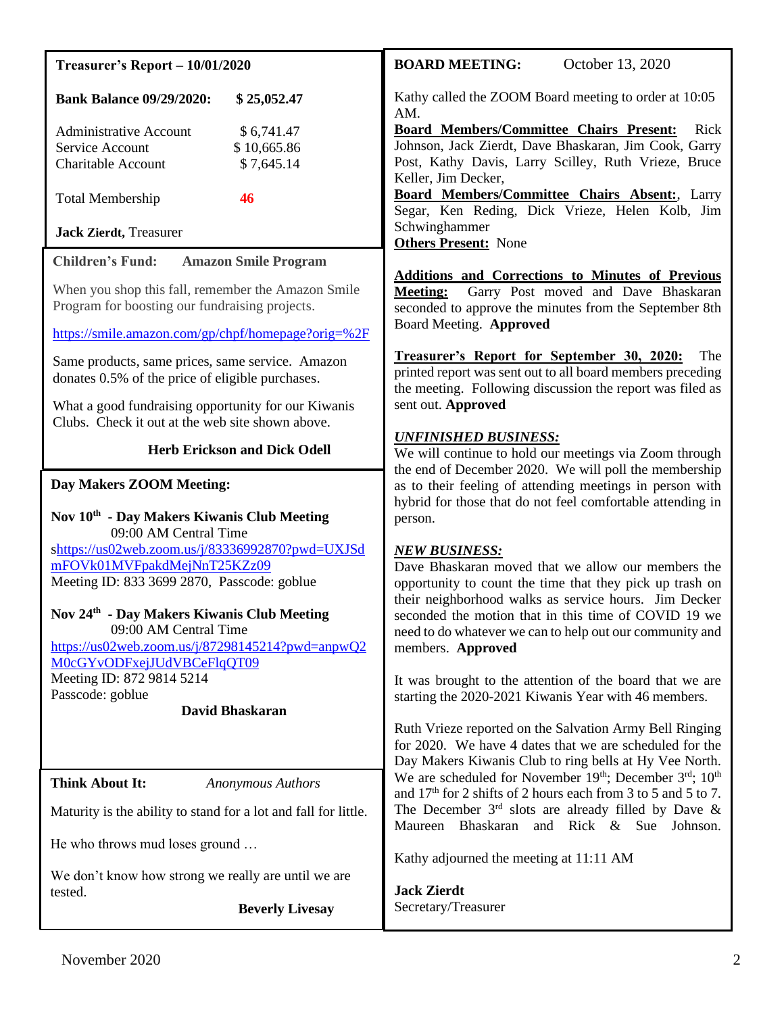| <b>Treasurer's Report - 10/01/2020</b>                                                                                                                                                      | October 13, 2020<br><b>BOARD MEETING:</b>                                                                                                                                                                                                                                                                                                                                                                                            |  |
|---------------------------------------------------------------------------------------------------------------------------------------------------------------------------------------------|--------------------------------------------------------------------------------------------------------------------------------------------------------------------------------------------------------------------------------------------------------------------------------------------------------------------------------------------------------------------------------------------------------------------------------------|--|
| <b>Bank Balance 09/29/2020:</b><br>\$25,052.47                                                                                                                                              | Kathy called the ZOOM Board meeting to order at 10:05<br>AM.                                                                                                                                                                                                                                                                                                                                                                         |  |
| \$6,741.47<br><b>Administrative Account</b><br>\$10,665.86<br>Service Account<br>\$7,645.14<br><b>Charitable Account</b><br><b>Total Membership</b><br>46<br><b>Jack Zierdt</b> , Treasurer | <b>Board Members/Committee Chairs Present:</b><br>Rick<br>Johnson, Jack Zierdt, Dave Bhaskaran, Jim Cook, Garry<br>Post, Kathy Davis, Larry Scilley, Ruth Vrieze, Bruce<br>Keller, Jim Decker,<br>Board Members/Committee Chairs Absent:, Larry<br>Segar, Ken Reding, Dick Vrieze, Helen Kolb, Jim<br>Schwinghammer                                                                                                                  |  |
| <b>Children's Fund:</b><br><b>Amazon Smile Program</b>                                                                                                                                      | <b>Others Present:</b> None                                                                                                                                                                                                                                                                                                                                                                                                          |  |
| When you shop this fall, remember the Amazon Smile<br>Program for boosting our fundraising projects.                                                                                        | <b>Additions and Corrections to Minutes of Previous</b><br>Garry Post moved and Dave Bhaskaran<br><b>Meeting:</b><br>seconded to approve the minutes from the September 8th<br>Board Meeting. Approved                                                                                                                                                                                                                               |  |
| https://smile.amazon.com/gp/chpf/homepage?orig=%2F                                                                                                                                          | Treasurer's Report for September 30, 2020:<br>The                                                                                                                                                                                                                                                                                                                                                                                    |  |
| Same products, same prices, same service. Amazon<br>donates 0.5% of the price of eligible purchases.                                                                                        | printed report was sent out to all board members preceding<br>the meeting. Following discussion the report was filed as<br>sent out. Approved<br><b>UNFINISHED BUSINESS:</b><br>We will continue to hold our meetings via Zoom through<br>the end of December 2020. We will poll the membership<br>as to their feeling of attending meetings in person with<br>hybrid for those that do not feel comfortable attending in<br>person. |  |
| What a good fundraising opportunity for our Kiwanis<br>Clubs. Check it out at the web site shown above.                                                                                     |                                                                                                                                                                                                                                                                                                                                                                                                                                      |  |
| <b>Herb Erickson and Dick Odell</b>                                                                                                                                                         |                                                                                                                                                                                                                                                                                                                                                                                                                                      |  |
| Day Makers ZOOM Meeting:<br>Nov 10 <sup>th</sup> - Day Makers Kiwanis Club Meeting<br>09:00 AM Central Time                                                                                 |                                                                                                                                                                                                                                                                                                                                                                                                                                      |  |
| shttps://us02web.zoom.us/j/83336992870?pwd=UXJSd<br>mFOVk01MVFpakdMejNnT25KZz09<br>Meeting ID: 833 3699 2870, Passcode: goblue                                                              | <b>NEW BUSINESS:</b><br>Dave Bhaskaran moved that we allow our members the<br>opportunity to count the time that they pick up trash on<br>their neighborhood walks as service hours. Jim Decker                                                                                                                                                                                                                                      |  |
| Nov 24 <sup>th</sup> - Day Makers Kiwanis Club Meeting<br>09:00 AM Central Time<br>https://us02web.zoom.us/j/87298145214?pwd=anpwQ2<br>M0cGYvODFxejJUdVBCeFlqQT09                           | seconded the motion that in this time of COVID 19 we<br>need to do whatever we can to help out our community and<br>members. Approved                                                                                                                                                                                                                                                                                                |  |
| Meeting ID: 872 9814 5214<br>Passcode: goblue                                                                                                                                               | It was brought to the attention of the board that we are                                                                                                                                                                                                                                                                                                                                                                             |  |
| David Bhaskaran                                                                                                                                                                             | starting the 2020-2021 Kiwanis Year with 46 members.                                                                                                                                                                                                                                                                                                                                                                                 |  |
|                                                                                                                                                                                             | Ruth Vrieze reported on the Salvation Army Bell Ringing<br>for 2020. We have 4 dates that we are scheduled for the<br>Day Makers Kiwanis Club to ring bells at Hy Vee North.                                                                                                                                                                                                                                                         |  |
| <b>Think About It:</b><br><b>Anonymous Authors</b>                                                                                                                                          | We are scheduled for November 19th; December 3rd; 10th<br>and $17th$ for 2 shifts of 2 hours each from 3 to 5 and 5 to 7.<br>The December $3rd$ slots are already filled by Dave &<br>Maureen Bhaskaran and Rick & Sue Johnson.                                                                                                                                                                                                      |  |
| Maturity is the ability to stand for a lot and fall for little.                                                                                                                             |                                                                                                                                                                                                                                                                                                                                                                                                                                      |  |
| He who throws mud loses ground                                                                                                                                                              | Kathy adjourned the meeting at 11:11 AM                                                                                                                                                                                                                                                                                                                                                                                              |  |
| We don't know how strong we really are until we are<br>tested.<br><b>Beverly Livesay</b>                                                                                                    | <b>Jack Zierdt</b><br>Secretary/Treasurer                                                                                                                                                                                                                                                                                                                                                                                            |  |
|                                                                                                                                                                                             |                                                                                                                                                                                                                                                                                                                                                                                                                                      |  |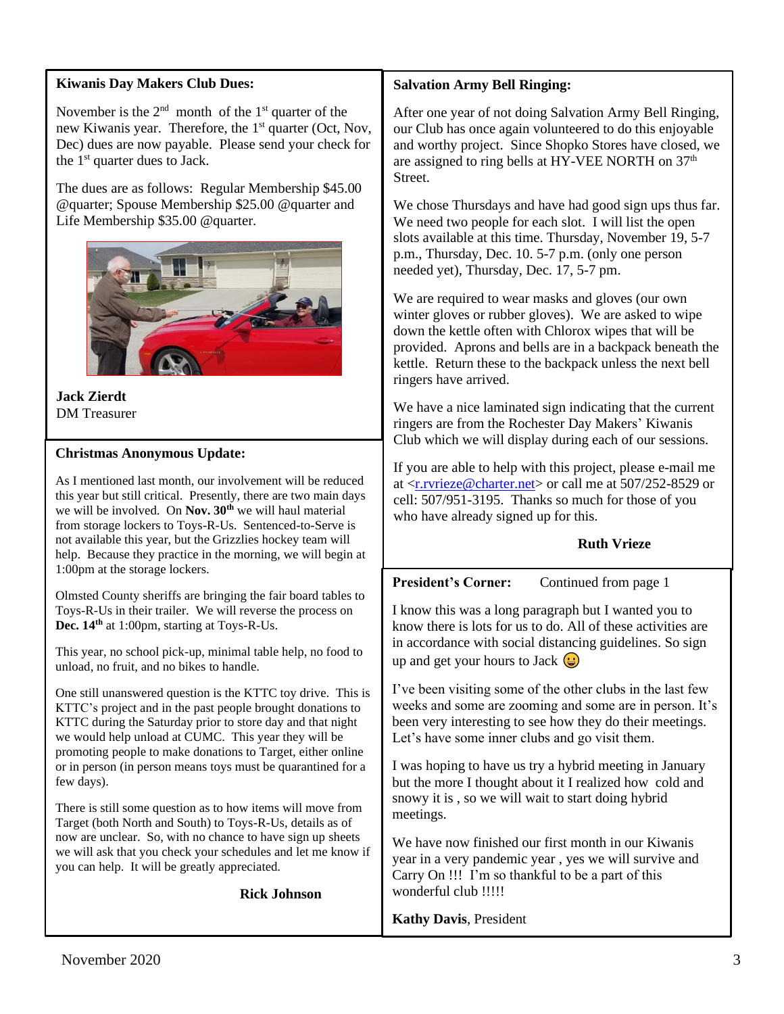## **Kiwanis Day Makers Club Dues:**

November is the  $2<sup>nd</sup>$  month of the  $1<sup>st</sup>$  quarter of the new Kiwanis year. Therefore, the 1<sup>st</sup> quarter (Oct, Nov, Dec) dues are now payable. Please send your check for the  $1<sup>st</sup>$  quarter dues to Jack.

The dues are as follows: Regular Membership \$45.00 @quarter; Spouse Membership \$25.00 @quarter and Life Membership \$35.00 @quarter.



**Jack Zierdt** DM Treasurer

### **Christmas Anonymous Update:**

As I mentioned last month, our involvement will be reduced this year but still critical. Presently, there are two main days we will be involved. On **Nov. 30th** we will haul material from storage lockers to Toys-R-Us. Sentenced-to-Serve is not available this year, but the Grizzlies hockey team will help. Because they practice in the morning, we will begin at 1:00pm at the storage lockers.

Olmsted County sheriffs are bringing the fair board tables to Toys-R-Us in their trailer. We will reverse the process on **Dec. 14th** at 1:00pm, starting at Toys-R-Us.

This year, no school pick-up, minimal table help, no food to unload, no fruit, and no bikes to handle.

One still unanswered question is the KTTC toy drive. This is KTTC's project and in the past people brought donations to KTTC during the Saturday prior to store day and that night we would help unload at CUMC. This year they will be promoting people to make donations to Target, either online or in person (in person means toys must be quarantined for a few days).

There is still some question as to how items will move from Target (both North and South) to Toys-R-Us, details as of now are unclear. So, with no chance to have sign up sheets we will ask that you check your schedules and let me know if you can help. It will be greatly appreciated.

**Rick Johnson**

#### **Salvation Army Bell Ringing:**

After one year of not doing Salvation Army Bell Ringing, our Club has once again volunteered to do this enjoyable and worthy project. Since Shopko Stores have closed, we are assigned to ring bells at HY-VEE NORTH on 37<sup>th</sup> Street.

We chose Thursdays and have had good sign ups thus far. We need two people for each slot. I will list the open slots available at this time. Thursday, November 19, 5-7 p.m., Thursday, Dec. 10. 5-7 p.m. (only one person needed yet), Thursday, Dec. 17, 5-7 pm.

We are required to wear masks and gloves (our own winter gloves or rubber gloves). We are asked to wipe down the kettle often with Chlorox wipes that will be provided. Aprons and bells are in a backpack beneath the kettle. Return these to the backpack unless the next bell ringers have arrived.

We have a nice laminated sign indicating that the current ringers are from the Rochester Day Makers' Kiwanis Club which we will display during each of our sessions.

If you are able to help with this project, please e-mail me at [<r.rvrieze@charter.net>](mailto:r.rvrieze@charter.net) or call me at 507/252-8529 or cell: 507/951-3195. Thanks so much for those of you who have already signed up for this.

#### **Ruth Vrieze**

**President's Corner:** Continued from page 1

I know this was a long paragraph but I wanted you to know there is lots for us to do. All of these activities are in accordance with social distancing guidelines. So sign up and get your hours to Jack  $\bigoplus$ 

I've been visiting some of the other clubs in the last few weeks and some are zooming and some are in person. It's been very interesting to see how they do their meetings. Let's have some inner clubs and go visit them.

I was hoping to have us try a hybrid meeting in January but the more I thought about it I realized how cold and snowy it is , so we will wait to start doing hybrid meetings.

We have now finished our first month in our Kiwanis year in a very pandemic year , yes we will survive and Carry On !!! I'm so thankful to be a part of this wonderful club !!!!!

### **Kathy Davis**, President